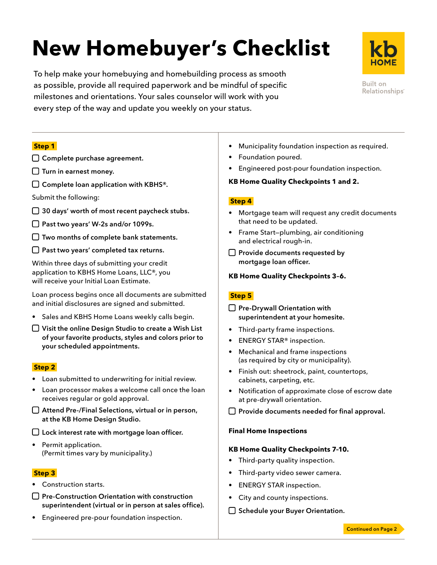# **New Homebuyer's Checklist**

To help make your homebuying and homebuilding process as smooth as possible, provide all required paperwork and be mindful of specific milestones and orientations. Your sales counselor will work with you every step of the way and update you weekly on your status.



**Built on** Relationships<sup>®</sup>

### **Step 1**

- □ Complete purchase agreement.
- $\Box$  Turn in earnest money.
- $\square$  Complete loan application with KBHS®.
- Submit the following:
- $\Box$  30 days' worth of most recent paycheck stubs.
- □ Past two years' W-2s and/or 1099s.
- $\square$  Two months of complete bank statements.
- $\Box$  Past two years' completed tax returns.

Within three days of submitting your credit application to KBHS Home Loans, LLC®, you will receive your Initial Loan Estimate.

Loan process begins once all documents are submitted and initial disclosures are signed and submitted.

- Sales and KBHS Home Loans weekly calls begin.
- $\Box$  Visit the online Design Studio to create a Wish List of your favorite products, styles and colors prior to your scheduled appointments.

#### **Step 2**

- Loan submitted to underwriting for initial review.
- Loan processor makes a welcome call once the loan receives regular or gold approval.
- Attend Pre-/Final Selections, virtual or in person, at the KB Home Design Studio.
- □ Lock interest rate with mortgage loan officer.
- Permit application. (Permit times vary by municipality.)

#### **Step 3**

- Construction starts.
- $\bigcap$  Pre-Construction Orientation with construction superintendent (virtual or in person at sales office).
- Engineered pre-pour foundation inspection.
- Municipality foundation inspection as required.
- Foundation poured.
- Engineered post-pour foundation inspection.

#### **KB Home Quality Checkpoints 1 and 2.**

#### **Step 4**

- Mortgage team will request any credit documents that need to be updated.
- Frame Start—plumbing, air conditioning and electrical rough-in.
- $\Box$  Provide documents requested by mortgage loan officer.
- **KB Home Quality Checkpoints 3–6.**

## **Step 5**

- $\Box$  Pre-Drywall Orientation with superintendent at your homesite.
- Third-party frame inspections.
- ENERGY STAR® inspection.
- Mechanical and frame inspections (as required by city or municipality).
- Finish out: sheetrock, paint, countertops, cabinets, carpeting, etc.
- Notification of approximate close of escrow date at pre-drywall orientation.
- $\square$  Provide documents needed for final approval.

#### **Final Home Inspections**

#### **KB Home Quality Checkpoints 7–10.**

- Third-party quality inspection.
- Third-party video sewer camera.
- ENERGY STAR inspection.
- City and county inspections.
- $\Box$  Schedule your Buyer Orientation.